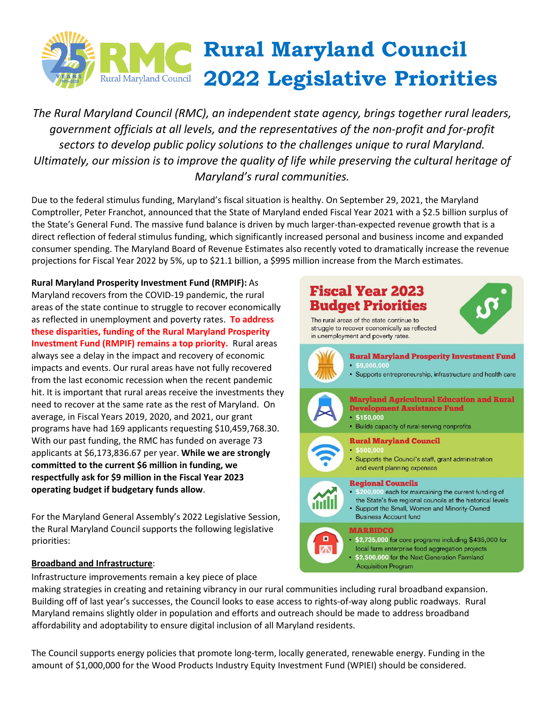

*The Rural Maryland Council (RMC), an independent state agency, brings together rural leaders, government officials at all levels, and the representatives of the non-profit and for-profit sectors to develop public policy solutions to the challenges unique to rural Maryland. Ultimately, our mission is to improve the quality of life while preserving the cultural heritage of Maryland's rural communities.* 

Due to the federal stimulus funding, Maryland's fiscal situation is healthy. On September 29, 2021, the Maryland Comptroller, Peter Franchot, announced that the State of Maryland ended Fiscal Year 2021 with a \$2.5 billion surplus of the State's General Fund. The massive fund balance is driven by much larger-than-expected revenue growth that is a direct reflection of federal stimulus funding, which significantly increased personal and business income and expanded consumer spending. The Maryland Board of Revenue Estimates also recently voted to dramatically increase the revenue projections for Fiscal Year 2022 by 5%, up to \$21.1 billion, a \$995 million increase from the March estimates.

**Rural Maryland Prosperity Investment Fund (RMPIF):** As Maryland recovers from the COVID-19 pandemic, the rural areas of the state continue to struggle to recover economically as reflected in unemployment and poverty rates. **To address these disparities, funding of the Rural Maryland Prosperity Investment Fund (RMPIF) remains a top priority.** Rural areas always see a delay in the impact and recovery of economic impacts and events. Our rural areas have not fully recovered from the last economic recession when the recent pandemic hit. It is important that rural areas receive the investments they need to recover at the same rate as the rest of Maryland. On average, in Fiscal Years 2019, 2020, and 2021, our grant programs have had 169 applicants requesting \$10,459,768.30. With our past funding, the RMC has funded on average 73 applicants at \$6,173,836.67 per year. **While we are strongly committed to the current \$6 million in funding, we respectfully ask for \$9 million in the Fiscal Year 2023 operating budget if budgetary funds allow**.

For the Maryland General Assembly's 2022 Legislative Session, the Rural Maryland Council supports the following legislative priorities:

## **Broadband and Infrastructure**:

Infrastructure improvements remain a key piece of place

making strategies in creating and retaining vibrancy in our rural communities including rural broadband expansion. Building off of last year's successes, the Council looks to ease access to rights-of-way along public roadways. Rural Maryland remains slightly older in population and efforts and outreach should be made to address broadband affordability and adoptability to ensure digital inclusion of all Maryland residents.

The Council supports energy policies that promote long-term, locally generated, renewable energy. Funding in the amount of \$1,000,000 for the Wood Products Industry Equity Investment Fund (WPIEI) should be considered.

## **Fiscal Year 2023 Budget Priorities**

The rural areas of the state continue to struggle to recover economically as reflected in unemployment and poverty rates.





• \$2,735,000 for core programs including \$435,000 for local farm enterprise food aggregation projects \$2,500,000 for the Next Generation Farmland **Acquisition Program**